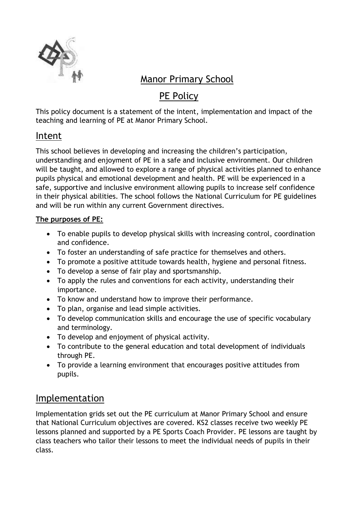

# Manor Primary School

# PE Policy

This policy document is a statement of the intent, implementation and impact of the teaching and learning of PE at Manor Primary School.

## Intent

This school believes in developing and increasing the children's participation, understanding and enjoyment of PE in a safe and inclusive environment. Our children will be taught, and allowed to explore a range of physical activities planned to enhance pupils physical and emotional development and health. PE will be experienced in a safe, supportive and inclusive environment allowing pupils to increase self confidence in their physical abilities. The school follows the National Curriculum for PE guidelines and will be run within any current Government directives.

### **The purposes of PE:**

- To enable pupils to develop physical skills with increasing control, coordination and confidence.
- To foster an understanding of safe practice for themselves and others.
- To promote a positive attitude towards health, hygiene and personal fitness.
- To develop a sense of fair play and sportsmanship.
- To apply the rules and conventions for each activity, understanding their importance.
- To know and understand how to improve their performance.
- To plan, organise and lead simple activities.
- To develop communication skills and encourage the use of specific vocabulary and terminology.
- To develop and enjoyment of physical activity.
- To contribute to the general education and total development of individuals through PE.
- To provide a learning environment that encourages positive attitudes from pupils.

# Implementation

Implementation grids set out the PE curriculum at Manor Primary School and ensure that National Curriculum objectives are covered. KS2 classes receive two weekly PE lessons planned and supported by a PE Sports Coach Provider. PE lessons are taught by class teachers who tailor their lessons to meet the individual needs of pupils in their class.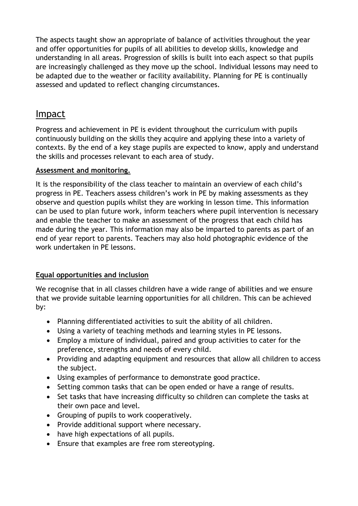The aspects taught show an appropriate of balance of activities throughout the year and offer opportunities for pupils of all abilities to develop skills, knowledge and understanding in all areas. Progression of skills is built into each aspect so that pupils are increasingly challenged as they move up the school. Individual lessons may need to be adapted due to the weather or facility availability. Planning for PE is continually assessed and updated to reflect changing circumstances.

### Impact

Progress and achievement in PE is evident throughout the curriculum with pupils continuously building on the skills they acquire and applying these into a variety of contexts. By the end of a key stage pupils are expected to know, apply and understand the skills and processes relevant to each area of study.

#### **Assessment and monitoring.**

It is the responsibility of the class teacher to maintain an overview of each child's progress in PE. Teachers assess children's work in PE by making assessments as they observe and question pupils whilst they are working in lesson time. This information can be used to plan future work, inform teachers where pupil intervention is necessary and enable the teacher to make an assessment of the progress that each child has made during the year. This information may also be imparted to parents as part of an end of year report to parents. Teachers may also hold photographic evidence of the work undertaken in PE lessons.

### **Equal opportunities and inclusion**

We recognise that in all classes children have a wide range of abilities and we ensure that we provide suitable learning opportunities for all children. This can be achieved by:

- Planning differentiated activities to suit the ability of all children.
- Using a variety of teaching methods and learning styles in PE lessons.
- Employ a mixture of individual, paired and group activities to cater for the preference, strengths and needs of every child.
- Providing and adapting equipment and resources that allow all children to access the subject.
- Using examples of performance to demonstrate good practice.
- Setting common tasks that can be open ended or have a range of results.
- Set tasks that have increasing difficulty so children can complete the tasks at their own pace and level.
- Grouping of pupils to work cooperatively.
- Provide additional support where necessary.
- have high expectations of all pupils.
- Ensure that examples are free rom stereotyping.